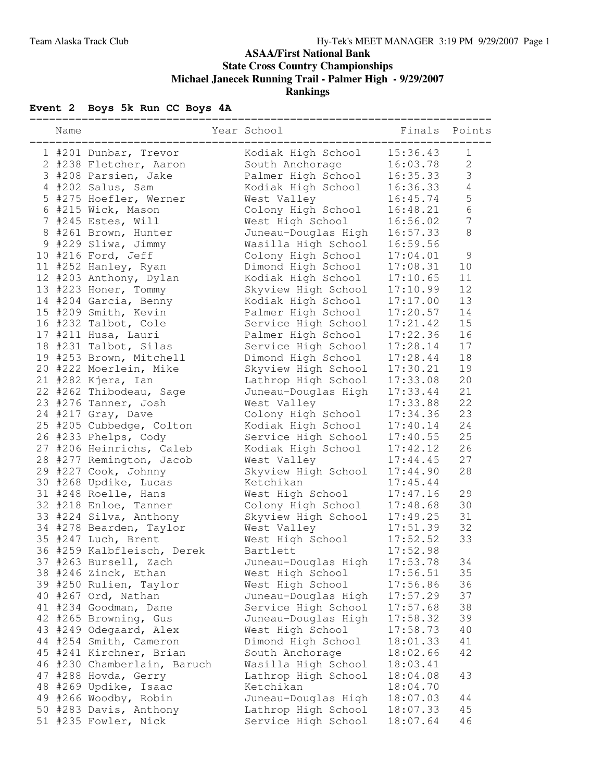### **ASAA/First National Bank State Cross Country Championships Michael Janecek Running Trail - Palmer High - 9/29/2007 Rankings**

# **Event 2 Boys 5k Run CC Boys 4A**

| ========== |                             |                                | =====================   |                  |
|------------|-----------------------------|--------------------------------|-------------------------|------------------|
| Name       |                             | Year School<br>--------------- | Finals Points<br>====== |                  |
|            | 1 #201 Dunbar, Trevor       | Kodiak High School             | 15:36.43                | $\mathbf 1$      |
|            | 2 #238 Fletcher, Aaron      | South Anchorage                | 16:03.78                | $\mathbf{2}$     |
|            | 3 #208 Parsien, Jake        | Palmer High School             | 16:35.33                | $\mathsf 3$      |
|            | 4 #202 Salus, Sam           | Kodiak High School             | 16:36.33                | $\overline{4}$   |
|            | 5 #275 Hoefler, Werner      | West Valley                    | 16:45.74                | 5                |
|            | 6 #215 Wick, Mason          | Colony High School             | 16:48.21                | $\overline{6}$   |
|            | 7 #245 Estes, Will          | West High School               | 16:56.02                | $\boldsymbol{7}$ |
|            | 8 #261 Brown, Hunter        | Juneau-Douglas High            | 16:57.33                | $\,8\,$          |
|            | 9 #229 Sliwa, Jimmy         | Wasilla High School            | 16:59.56                |                  |
|            | 10 #216 Ford, Jeff          | Colony High School             | 17:04.01                | $\mathcal{G}$    |
|            | 11 #252 Hanley, Ryan        | Dimond High School             | 17:08.31                | 10               |
|            | 12 #203 Anthony, Dylan      | Kodiak High School             | 17:10.65                | 11               |
|            | 13 #223 Honer, Tommy        | Skyview High School            | 17:10.99                | 12               |
|            | 14 #204 Garcia, Benny       | Kodiak High School             | 17:17.00                | 13               |
|            | 15 #209 Smith, Kevin        | Palmer High School             | 17:20.57                | 14               |
|            | 16 #232 Talbot, Cole        | Service High School            | 17:21.42                | 15               |
|            | 17 #211 Husa, Lauri         | Palmer High School             | 17:22.36                | 16               |
|            | 18 #231 Talbot, Silas       | Service High School            | 17:28.14                | 17               |
|            | 19 #253 Brown, Mitchell     | Dimond High School             | 17:28.44                | 18               |
|            | 20 #222 Moerlein, Mike      | Skyview High School            | 17:30.21                | 19               |
|            | 21 #282 Kjera, Ian          | Lathrop High School            | 17:33.08                | 20               |
|            | 22 #262 Thibodeau, Sage     | Juneau-Douglas High            | 17:33.44                | 21               |
|            | 23 #276 Tanner, Josh        | West Valley                    | 17:33.88                | 22               |
|            | 24 #217 Gray, Dave          | Colony High School             | 17:34.36                | 23               |
|            | 25 #205 Cubbedge, Colton    | Kodiak High School             | 17:40.14                | 24               |
|            | 26 #233 Phelps, Cody        | Service High School            | 17:40.55                | 25               |
|            | 27 #206 Heinrichs, Caleb    | Kodiak High School             | 17:42.12                | 26               |
|            | 28 #277 Remington, Jacob    | West Valley                    | 17:44.45                | 27               |
|            | 29 #227 Cook, Johnny        | Skyview High School            | 17:44.90                | 28               |
|            | 30 #268 Updike, Lucas       | Ketchikan                      | 17:45.44                |                  |
|            | 31 #248 Roelle, Hans        | West High School               | 17:47.16                | 29               |
|            | 32 #218 Enloe, Tanner       | Colony High School             | 17:48.68                | 30               |
|            | 33 #224 Silva, Anthony      | Skyview High School            | 17:49.25                | 31               |
|            | 34 #278 Bearden, Taylor     | West Valley                    | 17:51.39                | 32               |
|            | 35 #247 Luch, Brent         | West High School               | 17:52.52                | 33               |
|            | 36 #259 Kalbfleisch, Derek  | Bartlett                       | 17:52.98                |                  |
|            | 37 #263 Bursell, Zach       | Juneau-Douglas High            | 17:53.78                | 34               |
|            | 38 #246 Zinck, Ethan        | West High School               | 17:56.51                | 35               |
|            | 39 #250 Rulien, Taylor      | West High School               | 17:56.86                | 36               |
|            | 40 #267 Ord, Nathan         | Juneau-Douglas High            | 17:57.29                | 37               |
|            | 41 #234 Goodman, Dane       | Service High School            | 17:57.68                | 38               |
|            | 42 #265 Browning, Gus       | Juneau-Douglas High            | 17:58.32                | 39               |
|            | 43 #249 Odegaard, Alex      | West High School               | 17:58.73                | 40               |
|            | 44 #254 Smith, Cameron      | Dimond High School             | 18:01.33                | 41               |
|            | 45 #241 Kirchner, Brian     | South Anchorage                | 18:02.66                | 42               |
|            | 46 #230 Chamberlain, Baruch | Wasilla High School            | 18:03.41                |                  |
|            | 47 #288 Hovda, Gerry        | Lathrop High School            | 18:04.08                | 43               |
|            | 48 #269 Updike, Isaac       | Ketchikan                      | 18:04.70                |                  |
|            | 49 #266 Woodby, Robin       | Juneau-Douglas High            | 18:07.03                | 44               |
|            | 50 #283 Davis, Anthony      | Lathrop High School            | 18:07.33                | 45               |
|            | 51 #235 Fowler, Nick        | Service High School            | 18:07.64                | 46               |
|            |                             |                                |                         |                  |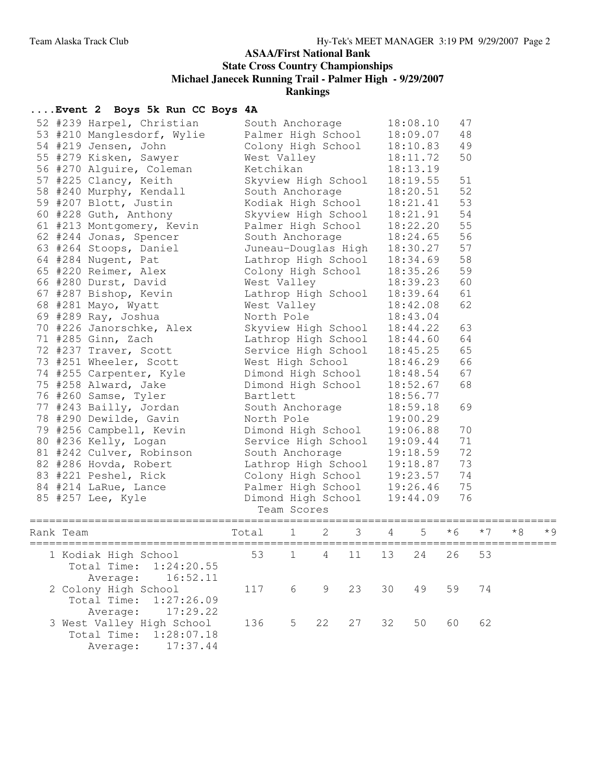### **ASAA/First National Bank State Cross Country Championships Michael Janecek Running Trail - Palmer High - 9/29/2007 Rankings**

# **....Event 2 Boys 5k Run CC Boys 4A**

|           | 55 #279 Kisken, Sawyer<br>56 #270 Alguire, Coleman<br>57 #225 Clancy, Keith<br>58 #240 Murphy, Kendall | West Valley<br>Ketchikan<br>Skyview High School                                                                          |                               |          |          |                      | 18:11.72<br>18:13.19<br>18:19.55                         | 50<br>51<br>52 |          |  |
|-----------|--------------------------------------------------------------------------------------------------------|--------------------------------------------------------------------------------------------------------------------------|-------------------------------|----------|----------|----------------------|----------------------------------------------------------|----------------|----------|--|
|           | 59 #207 Blott, Justin<br>60 #228 Guth, Anthony                                                         | South Anchorage 18:20.51<br>Kodiak High School 18:21.41<br>Skyview High School 18:21.91                                  |                               |          |          |                      |                                                          | 53<br>54       |          |  |
|           | 61 #213 Montgomery, Kevin                                                                              | Palmer High School 18:22.20                                                                                              |                               |          |          |                      |                                                          | 55             |          |  |
|           | 62 #244 Jonas, Spencer<br>63 #264 Stoops, Daniel<br>64 #284 Nugent, Pat                                |                                                                                                                          |                               |          |          |                      | South Anchorage 18:24.65<br>Juneau-Douglas High 18:30.27 | 56<br>57<br>58 |          |  |
|           | 65 #220 Reimer, Alex                                                                                   | Lathrop High School 18:34.69<br>Colony High School 18:35.26                                                              |                               |          |          |                      |                                                          | 59             |          |  |
|           | 66 #280 Durst, David<br>67 #287 Bishop, Kevin<br>68 #281 Mayo, Wyatt                                   | West Valley<br>West Valley                                                                                               |                               |          |          |                      | 18:39.23<br>Lathrop High School 18:39.64<br>18:42.08     | 60<br>61<br>62 |          |  |
|           | 69 #289 Ray, Joshua<br>70 #226 Janorschke, Alex<br>71 #285 Ginn, Zach                                  | North Pole<br>North Pole<br>Skyview High School 18:44.22<br>Lathrop High School 18:44.60<br>Service High School 18:45.25 |                               |          |          |                      | 18:43.04                                                 | 63<br>64       |          |  |
|           | 72 #237 Traver, Scott<br>73 #251 Wheeler, Scott                                                        | West High School 18:46.29                                                                                                |                               |          |          |                      |                                                          | 65<br>66       |          |  |
|           | 74 #255 Carpenter, Kyle<br>75 #258 Alward, Jake<br>76 #260 Samse, Tyler                                | Dimond High School<br>Dimond High School<br>Bartlett                                                                     |                               |          |          |                      | 18:48.54<br>18:52.67<br>18:56.77                         | 67<br>68       |          |  |
|           | 77 #243 Bailly, Jordan<br>78 #290 Dewilde, Gavin                                                       |                                                                                                                          | South Anchorage<br>North Pole |          |          | 18:59.18<br>19:00.29 | 69                                                       |                |          |  |
|           | 79 #256 Campbell, Kevin<br>80 #236 Kelly, Logan                                                        | Dimond High School<br>Service High School 19:09.44                                                                       |                               | 19:06.88 | 70<br>71 |                      |                                                          |                |          |  |
|           | 81 #242 Culver, Robinson<br>82 #286 Hovda, Robert<br>83 #221 Peshel, Rick                              | South Anchorage<br>South Anchorage 19:18.59<br>Lathrop High School 19:18.87<br>Colony High School 19:23.57               |                               |          |          |                      |                                                          | 72<br>73<br>74 |          |  |
|           | 84 #214 LaRue, Lance<br>85 #257 Lee, Kyle                                                              | Palmer High School<br>Dimond High School<br>Team Scores                                                                  |                               |          |          | 19:26.46<br>19:44.09 |                                                          |                | 75<br>76 |  |
| Rank Team |                                                                                                        |                                                                                                                          |                               |          |          |                      |                                                          |                |          |  |
|           | 1 Kodiak High School 53<br>Total Time:<br>1:24:20.55<br>16:52.11<br>Average:                           |                                                                                                                          | 1                             | $4 -$    | 11       | 13                   | 24                                                       | 26             | 53       |  |
|           | 2 Colony High School<br>Total Time:<br>1:27:26.09<br>Average:<br>17:29.22                              | 117                                                                                                                      | 6                             | 9        | 23       | 30                   | 49                                                       | 59             | 74       |  |
|           | 3 West Valley High School<br>Total Time:<br>1:28:07.18<br>17:37.44<br>Average:                         | 136                                                                                                                      | 5                             | 22       | 27       | 32                   | 50                                                       | 60             | 62       |  |